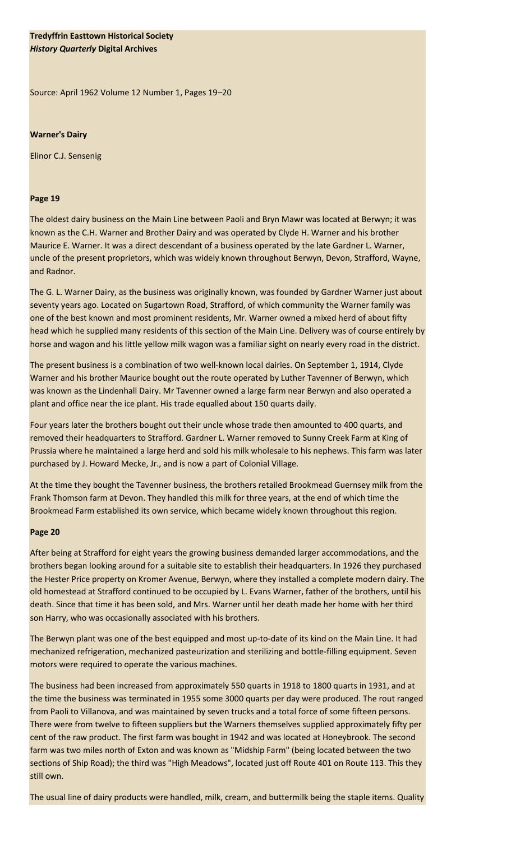## **Tredyffrin Easttown Historical Society** *History Quarterly* **Digital Archives**

Source: April 1962 Volume 12 Number 1, Pages 19–20

## **Warner's Dairy**

Elinor C.J. Sensenig

## **Page 19**

The oldest dairy business on the Main Line between Paoli and Bryn Mawr was located at Berwyn; it was known as the C.H. Warner and Brother Dairy and was operated by Clyde H. Warner and his brother Maurice E. Warner. It was a direct descendant of a business operated by the late Gardner L. Warner, uncle of the present proprietors, which was widely known throughout Berwyn, Devon, Strafford, Wayne, and Radnor.

The G. L. Warner Dairy, as the business was originally known, was founded by Gardner Warner just about seventy years ago. Located on Sugartown Road, Strafford, of which community the Warner family was one of the best known and most prominent residents, Mr. Warner owned a mixed herd of about fifty head which he supplied many residents of this section of the Main Line. Delivery was of course entirely by horse and wagon and his little yellow milk wagon was a familiar sight on nearly every road in the district.

The present business is a combination of two well-known local dairies. On September 1, 1914, Clyde Warner and his brother Maurice bought out the route operated by Luther Tavenner of Berwyn, which was known as the Lindenhall Dairy. Mr Tavenner owned a large farm near Berwyn and also operated a plant and office near the ice plant. His trade equalled about 150 quarts daily.

Four years later the brothers bought out their uncle whose trade then amounted to 400 quarts, and removed their headquarters to Strafford. Gardner L. Warner removed to Sunny Creek Farm at King of Prussia where he maintained a large herd and sold his milk wholesale to his nephews. This farm was later purchased by J. Howard Mecke, Jr., and is now a part of Colonial Village.

At the time they bought the Tavenner business, the brothers retailed Brookmead Guernsey milk from the Frank Thomson farm at Devon. They handled this milk for three years, at the end of which time the Brookmead Farm established its own service, which became widely known throughout this region.

## **Page 20**

After being at Strafford for eight years the growing business demanded larger accommodations, and the brothers began looking around for a suitable site to establish their headquarters. In 1926 they purchased the Hester Price property on Kromer Avenue, Berwyn, where they installed a complete modern dairy. The old homestead at Strafford continued to be occupied by L. Evans Warner, father of the brothers, until his death. Since that time it has been sold, and Mrs. Warner until her death made her home with her third son Harry, who was occasionally associated with his brothers.

The Berwyn plant was one of the best equipped and most up-to-date of its kind on the Main Line. It had mechanized refrigeration, mechanized pasteurization and sterilizing and bottle-filling equipment. Seven motors were required to operate the various machines.

The business had been increased from approximately 550 quarts in 1918 to 1800 quarts in 1931, and at the time the business was terminated in 1955 some 3000 quarts per day were produced. The rout ranged from Paoli to Villanova, and was maintained by seven trucks and a total force of some fifteen persons. There were from twelve to fifteen suppliers but the Warners themselves supplied approximately fifty per cent of the raw product. The first farm was bought in 1942 and was located at Honeybrook. The second farm was two miles north of Exton and was known as "Midship Farm" (being located between the two sections of Ship Road); the third was "High Meadows", located just off Route 401 on Route 113. This they still own.

The usual line of dairy products were handled, milk, cream, and buttermilk being the staple items. Quality